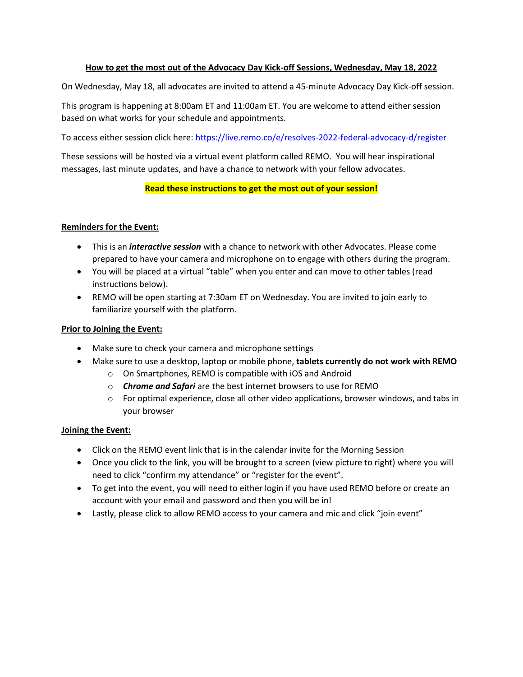### **How to get the most out of the Advocacy Day Kick-off Sessions, Wednesday, May 18, 2022**

On Wednesday, May 18, all advocates are invited to attend a 45-minute Advocacy Day Kick-off session.

This program is happening at 8:00am ET and 11:00am ET. You are welcome to attend either session based on what works for your schedule and appointments.

To access either session click here:<https://live.remo.co/e/resolves-2022-federal-advocacy-d/register>

These sessions will be hosted via a virtual event platform called REMO. You will hear inspirational messages, last minute updates, and have a chance to network with your fellow advocates.

# **Read these instructions to get the most out of your session!**

### **Reminders for the Event:**

- This is an *interactive session* with a chance to network with other Advocates. Please come prepared to have your camera and microphone on to engage with others during the program.
- You will be placed at a virtual "table" when you enter and can move to other tables (read instructions below).
- REMO will be open starting at 7:30am ET on Wednesday. You are invited to join early to familiarize yourself with the platform.

### **Prior to Joining the Event:**

- Make sure to check your camera and microphone settings
- Make sure to use a desktop, laptop or mobile phone, **tablets currently do not work with REMO**
	- o On Smartphones, REMO is compatible with iOS and Android
	- o *Chrome and Safari* are the best internet browsers to use for REMO
	- $\circ$  For optimal experience, close all other video applications, browser windows, and tabs in your browser

# **Joining the Event:**

- Click on the REMO event link that is in the calendar invite for the Morning Session
- Once you click to the link, you will be brought to a screen (view picture to right) where you will need to click "confirm my attendance" or "register for the event".
- To get into the event, you will need to either login if you have used REMO before or create an account with your email and password and then you will be in!
- Lastly, please click to allow REMO access to your camera and mic and click "join event"